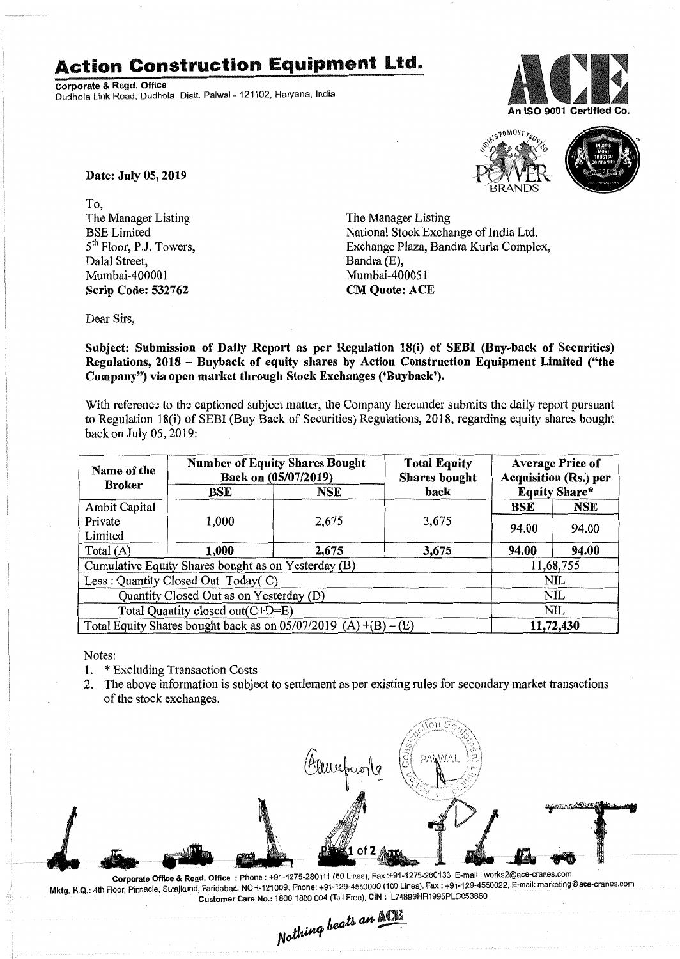## **Action Construction Equipment Ltd.**

Corporate & Regd. Office Dudhola Link Road, Dudhola, Distt. Palwal- 121102, Haryana, India





Date: July 05, 2019

To, The Manager Listing BSE Limited 5th Floor, PJ. Towers, Dalal Street, Mumbai-400001 Scrip Code: 532762

The Manager Listing National Stock Exchange of India Ltd. Exchange Plaza, Bandra Kurla Complex, Bandra (E), Mumbai-400051 CM Quote: ACE

Dear Sirs,

Subject: Submission of Daily Report as per Regulation 18(i) of SEBI (Buy-back of Securities) Regulations, 2018 - Buyback of equity shares by Action Construction Equipment Limited ("the Company") via open market through Stock Exchanges ('Buyback').

With reference to the captioned subject matter, the Company hereunder submits the daily report pursuant to Regulation 18(i) of SEBI (Buy Back of Securities) Regulations, 2018, regarding equity shares bought back on July 05, 2019:

| Name of the<br><b>Broker</b>                                      | <b>Number of Equity Shares Bought</b><br>Back on (05/07/2019) |       | <b>Total Equity</b><br><b>Shares bought</b> | <b>Average Price of</b><br><b>Acquisition (Rs.) per</b> |            |  |
|-------------------------------------------------------------------|---------------------------------------------------------------|-------|---------------------------------------------|---------------------------------------------------------|------------|--|
|                                                                   | BSE                                                           | NSE   | <b>Equity Share*</b><br>back                |                                                         |            |  |
| Ambit Capital                                                     |                                                               |       |                                             | BSE                                                     | NSE        |  |
| Private                                                           | 1,000                                                         | 2,675 | 3,675                                       | 94.00                                                   | 94.00      |  |
| Limited                                                           |                                                               |       |                                             |                                                         |            |  |
| Total (A)                                                         | 1,000                                                         | 2,675 | 3,675                                       | 94.00                                                   | 94.00      |  |
| Cumulative Equity Shares bought as on Yesterday (B)               |                                                               |       |                                             |                                                         | 11,68,755  |  |
| Less: Quantity Closed Out Today(C)                                |                                                               |       |                                             |                                                         | <b>NIL</b> |  |
| Quantity Closed Out as on Yesterday (D)                           |                                                               |       |                                             |                                                         | <b>NIL</b> |  |
| Total Quantity closed out(C+D=E)                                  |                                                               |       |                                             |                                                         | NIL        |  |
| Total Equity Shares bought back as on $05/07/2019$ (A) +(B) – (E) |                                                               |       |                                             |                                                         | 11,72,430  |  |

Notes:

- 1. \* Excluding Transaction Costs
- 2. The above information is subject to settlement as per existing rules for secondary market transactions of the stock exchanges.



.. Corporate Office & Regd. Office: Phone: +91-1275-280111 (50 Lines), Fax:+91-1275-280133, E-mail: works2@ace:cranes.c?m ست بالمحسوس المسابق المسابق المسابق المسابق المسابق المسابق المسابق المسابق المسابق المسابق المسابق المسابق ال<br>Mktg. H.Q.: 4th Floor, Pinnacle, Surajkund, Faridabad, NCR-121009, Phone: +91-129-4550000 (100 Lines), Fax: +9 Customer Care No.: 1800 1800 004 (Toll Free), CIN: L74899HR1995PLC053860

Nothing beats an MOTE